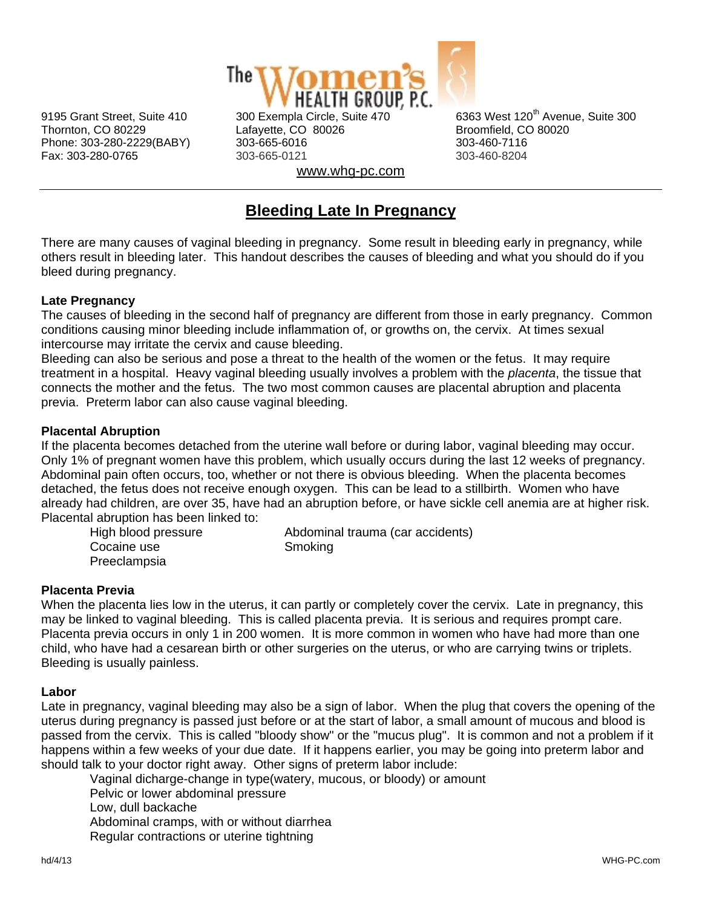

Thornton, CO 80229 Lafayette, CO 80026 Broomfield, CO 80020 Phone: 303-280-2229(BABY) 303-665-6016 303-460-7116 Fax: 303-280-0765 303-665-0121 303-460-8204 www.whg-pc.com

9195 Grant Street, Suite 410 300 Exempla Circle, Suite 470 6363 West 120<sup>th</sup> Avenue. Suite 300

# **Bleeding Late In Pregnancy**

There are many causes of vaginal bleeding in pregnancy. Some result in bleeding early in pregnancy, while others result in bleeding later. This handout describes the causes of bleeding and what you should do if you bleed during pregnancy.

# **Late Pregnancy**

The causes of bleeding in the second half of pregnancy are different from those in early pregnancy. Common conditions causing minor bleeding include inflammation of, or growths on, the cervix. At times sexual intercourse may irritate the cervix and cause bleeding.

Bleeding can also be serious and pose a threat to the health of the women or the fetus. It may require treatment in a hospital. Heavy vaginal bleeding usually involves a problem with the *placenta*, the tissue that connects the mother and the fetus. The two most common causes are placental abruption and placenta previa. Preterm labor can also cause vaginal bleeding.

## **Placental Abruption**

If the placenta becomes detached from the uterine wall before or during labor, vaginal bleeding may occur. Only 1% of pregnant women have this problem, which usually occurs during the last 12 weeks of pregnancy. Abdominal pain often occurs, too, whether or not there is obvious bleeding. When the placenta becomes detached, the fetus does not receive enough oxygen. This can be lead to a stillbirth. Women who have already had children, are over 35, have had an abruption before, or have sickle cell anemia are at higher risk. Placental abruption has been linked to:

| High blood pressure | Abdominal trauma (car accidents) |
|---------------------|----------------------------------|
| Cocaine use         | Smoking                          |
| Preeclampsia        |                                  |

#### **Placenta Previa**

When the placenta lies low in the uterus, it can partly or completely cover the cervix. Late in pregnancy, this may be linked to vaginal bleeding. This is called placenta previa. It is serious and requires prompt care. Placenta previa occurs in only 1 in 200 women. It is more common in women who have had more than one child, who have had a cesarean birth or other surgeries on the uterus, or who are carrying twins or triplets. Bleeding is usually painless.

#### **Labor**

Late in pregnancy, vaginal bleeding may also be a sign of labor. When the plug that covers the opening of the uterus during pregnancy is passed just before or at the start of labor, a small amount of mucous and blood is passed from the cervix. This is called "bloody show" or the "mucus plug". It is common and not a problem if it happens within a few weeks of your due date. If it happens earlier, you may be going into preterm labor and should talk to your doctor right away. Other signs of preterm labor include:

 Vaginal dicharge-change in type(watery, mucous, or bloody) or amount Pelvic or lower abdominal pressure Low, dull backache Abdominal cramps, with or without diarrhea Regular contractions or uterine tightning